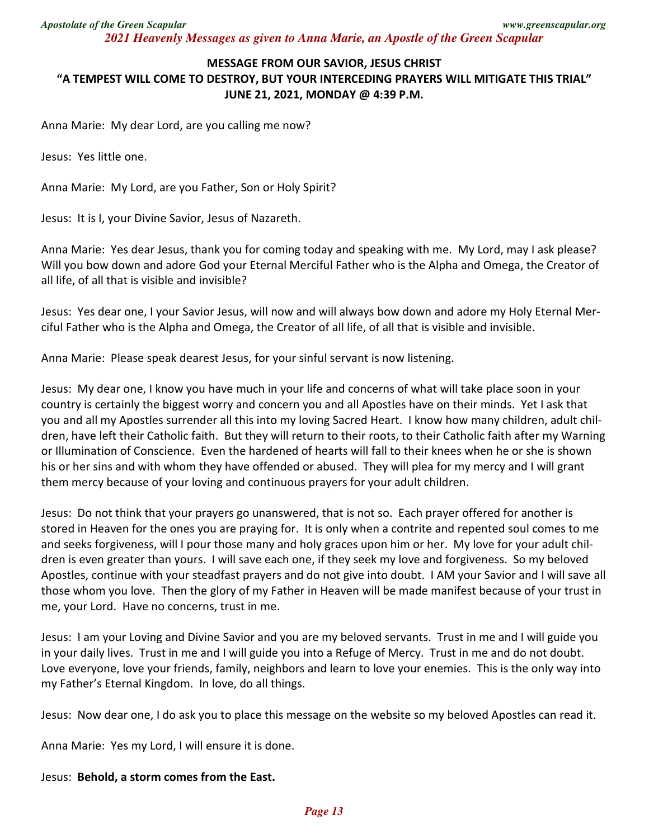## **MESSAGE FROM OUR SAVIOR, JESUS CHRIST "A TEMPEST WILL COME TO DESTROY, BUT YOUR INTERCEDING PRAYERS WILL MITIGATE THIS TRIAL"**

**JUNE 21, 2021, MONDAY @ 4:39 P.M.** 

Anna Marie: My dear Lord, are you calling me now?

Jesus: Yes little one.

Anna Marie: My Lord, are you Father, Son or Holy Spirit?

Jesus: It is I, your Divine Savior, Jesus of Nazareth.

Anna Marie: Yes dear Jesus, thank you for coming today and speaking with me. My Lord, may I ask please? Will you bow down and adore God your Eternal Merciful Father who is the Alpha and Omega, the Creator of all life, of all that is visible and invisible?

Jesus: Yes dear one, I your Savior Jesus, will now and will always bow down and adore my Holy Eternal Merciful Father who is the Alpha and Omega, the Creator of all life, of all that is visible and invisible.

Anna Marie: Please speak dearest Jesus, for your sinful servant is now listening.

Jesus: My dear one, I know you have much in your life and concerns of what will take place soon in your country is certainly the biggest worry and concern you and all Apostles have on their minds. Yet I ask that you and all my Apostles surrender all this into my loving Sacred Heart. I know how many children, adult children, have left their Catholic faith. But they will return to their roots, to their Catholic faith after my Warning or Illumination of Conscience. Even the hardened of hearts will fall to their knees when he or she is shown his or her sins and with whom they have offended or abused. They will plea for my mercy and I will grant them mercy because of your loving and continuous prayers for your adult children.

Jesus: Do not think that your prayers go unanswered, that is not so. Each prayer offered for another is stored in Heaven for the ones you are praying for. It is only when a contrite and repented soul comes to me and seeks forgiveness, will I pour those many and holy graces upon him or her. My love for your adult children is even greater than yours. I will save each one, if they seek my love and forgiveness. So my beloved Apostles, continue with your steadfast prayers and do not give into doubt. I AM your Savior and I will save all those whom you love. Then the glory of my Father in Heaven will be made manifest because of your trust in me, your Lord. Have no concerns, trust in me.

Jesus: I am your Loving and Divine Savior and you are my beloved servants. Trust in me and I will guide you in your daily lives. Trust in me and I will guide you into a Refuge of Mercy. Trust in me and do not doubt. Love everyone, love your friends, family, neighbors and learn to love your enemies. This is the only way into my Father's Eternal Kingdom. In love, do all things.

Jesus: Now dear one, I do ask you to place this message on the website so my beloved Apostles can read it.

Anna Marie: Yes my Lord, I will ensure it is done.

## Jesus: **Behold, a storm comes from the East.**